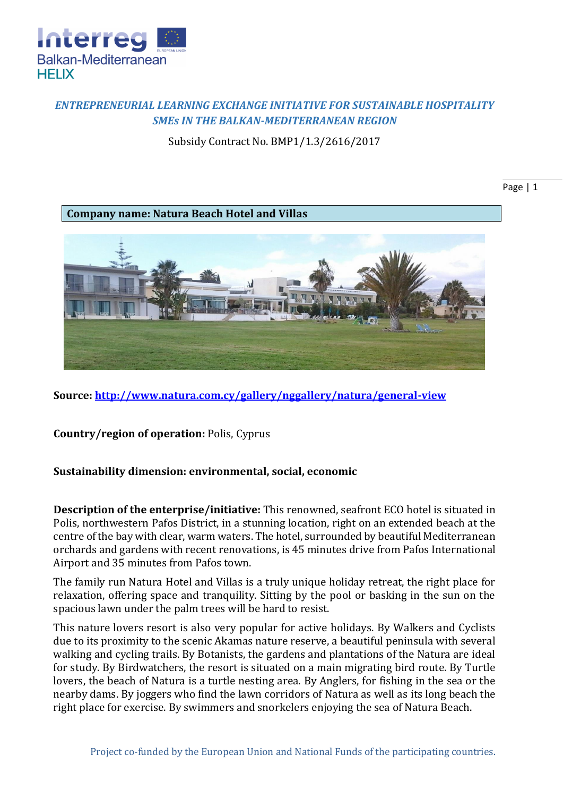

## *ENTREPRENEURIAL LEARNING EXCHANGE INITIATIVE FOR SUSTAINABLE HOSPITALITY SMEs IN THE BALKAN-MEDITERRANEAN REGION*

Subsidy Contract No. BMP1/1.3/2616/2017

Page | 1

**Company name: Natura Beach Hotel and Villas**



**Source:<http://www.natura.com.cy/gallery/nggallery/natura/general-view>**

**Country/region of operation:** Polis, Cyprus

**Sustainability dimension: environmental, social, economic**

**Description of the enterprise/initiative:** This renowned, seafront ECO hotel is situated in Polis, northwestern Pafos District, in a stunning location, right on an extended beach at the centre of the bay with clear, warm waters. The hotel, surrounded by beautiful Mediterranean orchards and gardens with recent renovations, is 45 minutes drive from Pafos International Airport and 35 minutes from Pafos town.

The family run Natura Hotel and Villas is a truly unique holiday retreat, the right place for relaxation, offering space and tranquility. Sitting by the pool or basking in the sun on the spacious lawn under the palm trees will be hard to resist.

This nature lovers resort is also very popular for active holidays. By Walkers and Cyclists due to its proximity to the scenic Akamas nature reserve, a beautiful peninsula with several walking and cycling trails. By Botanists, the gardens and plantations of the Natura are ideal for study. By Birdwatchers, the resort is situated on a main migrating bird route. By Turtle lovers, the beach of Natura is a turtle nesting area. By Anglers, for fishing in the sea or the nearby dams. By joggers who find the lawn corridors of Natura as well as its long beach the right place for exercise. By swimmers and snorkelers enjoying the sea of Natura Beach.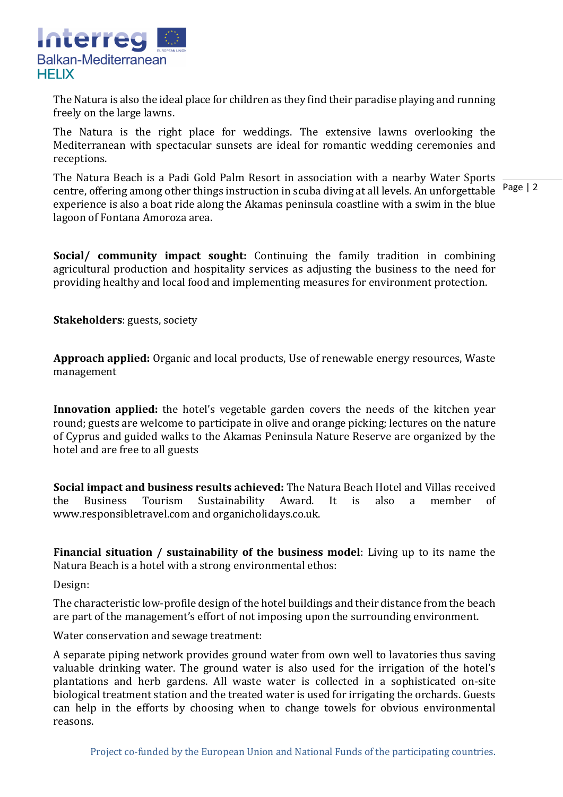

The Natura is also the ideal place for children as they find their paradise playing and running freely on the large lawns.

The Natura is the right place for weddings. The extensive lawns overlooking the Mediterranean with spectacular sunsets are ideal for romantic wedding ceremonies and receptions.

centre, offering among other things instruction in scuba diving at all levels. An unforgettable Page | 2 The Natura Beach is a Padi Gold Palm Resort in association with a nearby Water Sports experience is also a boat ride along the Akamas peninsula coastline with a swim in the blue lagoon of Fontana Amoroza area.

**Social/ community impact sought:** Continuing the family tradition in combining agricultural production and hospitality services as adjusting the business to the need for providing healthy and local food and implementing measures for environment protection.

**Stakeholders**: guests, society

**Approach applied:** Organic and local products, Use of renewable energy resources, Waste management

**Innovation applied:** the hotel's vegetable garden covers the needs of the kitchen year round; guests are welcome to participate in olive and orange picking; lectures on the nature of Cyprus and guided walks to the Akamas Peninsula Nature Reserve are organized by the hotel and are free to all guests

**Social impact and business results achieved:** The Natura Beach Hotel and Villas received the Business Tourism Sustainability Award. It is also a member of www.responsibletravel.com and organicholidays.co.uk.

**Financial situation / sustainability of the business model**: Living up to its name the Natura Beach is a hotel with a strong environmental ethos:

Design:

The characteristic low-profile design of the hotel buildings and their distance from the beach are part of the management's effort of not imposing upon the surrounding environment.

Water conservation and sewage treatment:

A separate piping network provides ground water from own well to lavatories thus saving valuable drinking water. The ground water is also used for the irrigation of the hotel's plantations and herb gardens. All waste water is collected in a sophisticated on-site biological treatment station and the treated water is used for irrigating the orchards. Guests can help in the efforts by choosing when to change towels for obvious environmental reasons.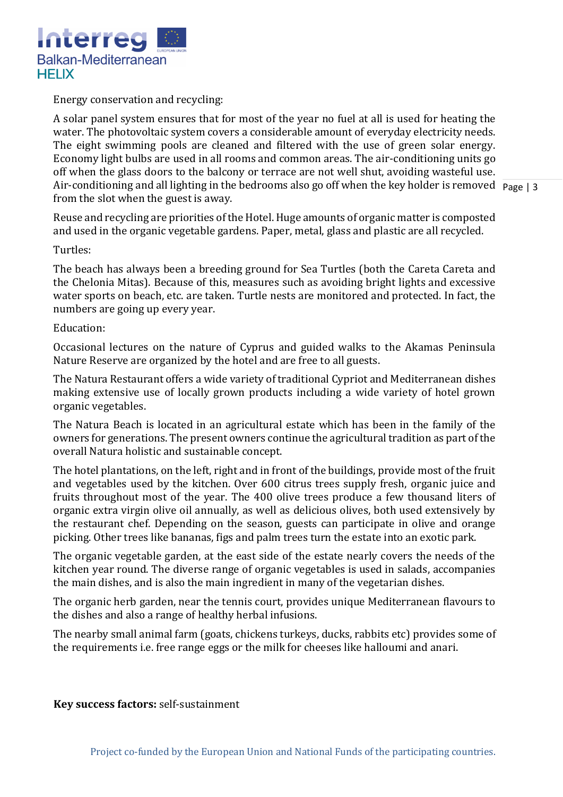

Energy conservation and recycling:

Air-conditioning and all lighting in the bedrooms also go off when the key holder is removed Page | 3 A solar panel system ensures that for most of the year no fuel at all is used for heating the water. The photovoltaic system covers a considerable amount of everyday electricity needs. The eight swimming pools are cleaned and filtered with the use of green solar energy. Economy light bulbs are used in all rooms and common areas. The air-conditioning units go off when the glass doors to the balcony or terrace are not well shut, avoiding wasteful use. from the slot when the guest is away.

Reuse and recycling are priorities of the Hotel. Huge amounts of organic matter is composted and used in the organic vegetable gardens. Paper, metal, glass and plastic are all recycled.

Turtles:

The beach has always been a breeding ground for Sea Turtles (both the Careta Careta and the Chelonia Mitas). Because of this, measures such as avoiding bright lights and excessive water sports on beach, etc. are taken. Turtle nests are monitored and protected. In fact, the numbers are going up every year.

## Education:

Occasional lectures on the nature of Cyprus and guided walks to the Akamas Peninsula Nature Reserve are organized by the hotel and are free to all guests.

The Natura Restaurant offers a wide variety of traditional Cypriot and Mediterranean dishes making extensive use of locally grown products including a wide variety of hotel grown organic vegetables.

The Natura Beach is located in an agricultural estate which has been in the family of the owners for generations. The present owners continue the agricultural tradition as part of the overall Natura holistic and sustainable concept.

The hotel plantations, on the left, right and in front of the buildings, provide most of the fruit and vegetables used by the kitchen. Over 600 citrus trees supply fresh, organic juice and fruits throughout most of the year. The 400 olive trees produce a few thousand liters of organic extra virgin olive oil annually, as well as delicious olives, both used extensively by the restaurant chef. Depending on the season, guests can participate in olive and orange picking. Other trees like bananas, figs and palm trees turn the estate into an exotic park.

The organic vegetable garden, at the east side of the estate nearly covers the needs of the kitchen year round. The diverse range of organic vegetables is used in salads, accompanies the main dishes, and is also the main ingredient in many of the vegetarian dishes.

The organic herb garden, near the tennis court, provides unique Mediterranean flavours to the dishes and also a range of healthy herbal infusions.

The nearby small animal farm (goats, chickens turkeys, ducks, rabbits etc) provides some of the requirements i.e. free range eggs or the milk for cheeses like halloumi and anari.

## **Key success factors:** self-sustainment